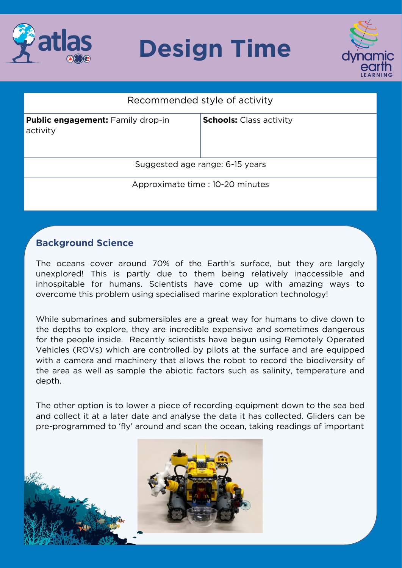

## **Design Time**



| Recommended style of activity                        |                                |
|------------------------------------------------------|--------------------------------|
| <b>Public engagement:</b> Family drop-in<br>activity | <b>Schools:</b> Class activity |
| Suggested age range: 6-15 years                      |                                |
| Approximate time : 10-20 minutes                     |                                |

## **Background Science**

The oceans cover around 70% of the Earth's surface, but they are largely unexplored! This is partly due to them being relatively inaccessible and inhospitable for humans. Scientists have come up with amazing ways to overcome this problem using specialised marine exploration technology! overcome this problem using specialised marine exploration technology!

While submarines and submersibles are a great way for humans to dive down to the depths to explore, they are incredible expensive and sometimes dangerous for the people inside. Recently scientists have begun using Remotely Operated Vehicles (ROVs) which are controlled by pilots at the surface and are equipped with a camera and machinery that allows the robot to record the biodiversity of the area as well as sample the abiotic factors such as salinity, temperature and the area as well as sample the abiotic factors such as salinity, temperature and depth.

The other option is to lower a piece of recording equipment down to the sea bed and collect it at a later date and analyse the data it has collected. Gliders can be pre-programmed to 'fly' around and scan the ocean, taking readings of important pre-programmed to 'fly' around and scan the ocean, taking readings of important